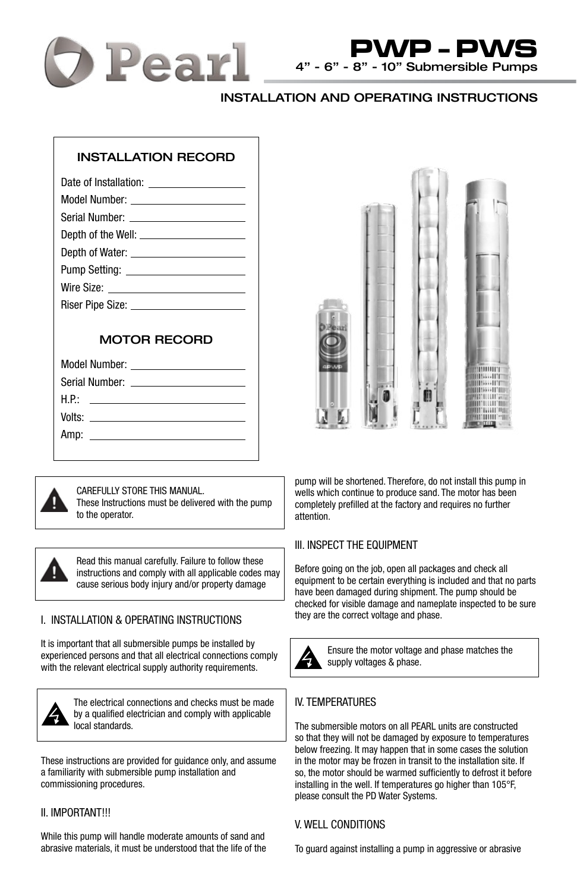



# INSTALLATION AND OPERATING INSTRUCTIONS

# INSTALLATION RECORD

# MOTOR RECORD



CAREFULLY STORE THIS MANUAL. These Instructions must be delivered with the pump to the operator.

Read this manual carefully. Failure to follow these instructions and comply with all applicable codes may cause serious body injury and/or property damage

# I. INSTALLATION & OPERATING INSTRUCTIONS

It is important that all submersible pumps be installed by experienced persons and that all electrical connections comply with the relevant electrical supply authority requirements.



The electrical connections and checks must be made by a qualified electrician and comply with applicable local standards.

These instructions are provided for guidance only, and assume a familiarity with submersible pump installation and commissioning procedures.

## II. IMPORTANT!!!

While this pump will handle moderate amounts of sand and abrasive materials, it must be understood that the life of the



pump will be shortened. Therefore, do not install this pump in wells which continue to produce sand. The motor has been completely prefilled at the factory and requires no further attention.

## III. INSPECT THE EQUIPMENT

Before going on the job, open all packages and check all equipment to be certain everything is included and that no parts have been damaged during shipment. The pump should be checked for visible damage and nameplate inspected to be sure they are the correct voltage and phase.



Ensure the motor voltage and phase matches the supply voltages & phase.

# IV. TEMPERATURES

The submersible motors on all PEARL units are constructed so that they will not be damaged by exposure to temperatures below freezing. It may happen that in some cases the solution in the motor may be frozen in transit to the installation site. If so, the motor should be warmed sufficiently to defrost it before installing in the well. If temperatures go higher than 105°F, please consult the PD Water Systems.

## V. WELL CONDITIONS

To guard against installing a pump in aggressive or abrasive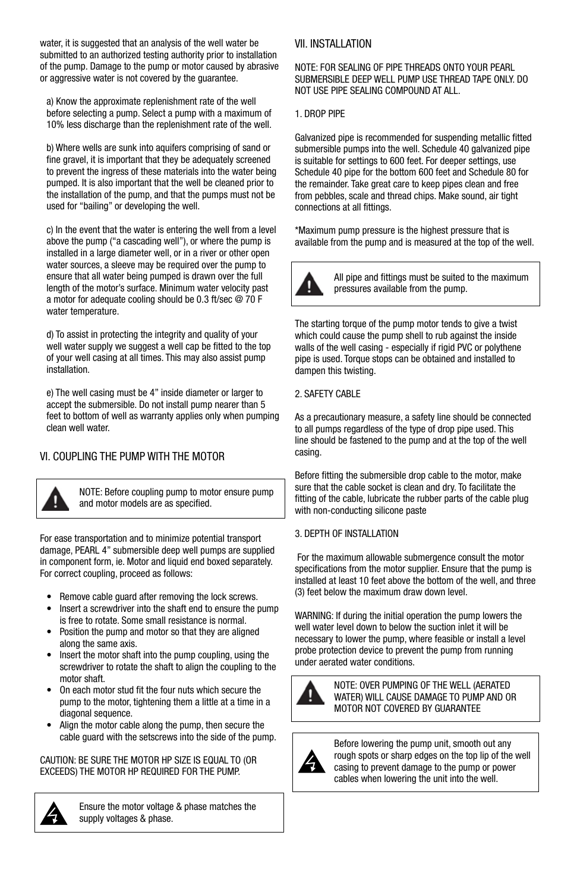water, it is suggested that an analysis of the well water be submitted to an authorized testing authority prior to installation of the pump. Damage to the pump or motor caused by abrasive or aggressive water is not covered by the guarantee.

a) Know the approximate replenishment rate of the well before selecting a pump. Select a pump with a maximum of 10% less discharge than the replenishment rate of the well.

b) Where wells are sunk into aquifers comprising of sand or fine gravel, it is important that they be adequately screened to prevent the ingress of these materials into the water being pumped. It is also important that the well be cleaned prior to the installation of the pump, and that the pumps must not be used for "bailing" or developing the well.

c) In the event that the water is entering the well from a level above the pump ("a cascading well"), or where the pump is installed in a large diameter well, or in a river or other open water sources, a sleeve may be required over the pump to ensure that all water being pumped is drawn over the full length of the motor's surface. Minimum water velocity past a motor for adequate cooling should be 0.3 ft/sec @ 70 F water temperature.

d) To assist in protecting the integrity and quality of your well water supply we suggest a well cap be fitted to the top of your well casing at all times. This may also assist pump installation.

e) The well casing must be 4" inside diameter or larger to accept the submersible. Do not install pump nearer than 5 feet to bottom of well as warranty applies only when pumping clean well water.

# VI. COUPLING THE PUMP WITH THE MOTOR



NOTE: Before coupling pump to motor ensure pump and motor models are as specified.

For ease transportation and to minimize potential transport damage, PEARL 4" submersible deep well pumps are supplied in component form, ie. Motor and liquid end boxed separately. For correct coupling, proceed as follows:

- Remove cable guard after removing the lock screws.
- Insert a screwdriver into the shaft end to ensure the pump is free to rotate. Some small resistance is normal.
- Position the pump and motor so that they are aligned along the same axis.
- Insert the motor shaft into the pump coupling, using the screwdriver to rotate the shaft to align the coupling to the motor shaft.
- On each motor stud fit the four nuts which secure the pump to the motor, tightening them a little at a time in a diagonal sequence.
- Align the motor cable along the pump, then secure the cable guard with the setscrews into the side of the pump.

CAUTION: BE SURE THE MOTOR HP SIZE IS EQUAL TO (OR EXCEEDS) THE MOTOR HP REQUIRED FOR THE PUMP.



Ensure the motor voltage & phase matches the supply voltages & phase.

## VII. INSTALLATION

NOTE: FOR SEALING OF PIPE THREADS ONTO YOUR PEARL SUBMERSIBLE DEEP WELL PUMP USE THREAD TAPE ONLY. DO NOT USE PIPE SEALING COMPOUND AT ALL.

### 1. DROP PIPE

Galvanized pipe is recommended for suspending metallic fitted submersible pumps into the well. Schedule 40 galvanized pipe is suitable for settings to 600 feet. For deeper settings, use Schedule 40 pipe for the bottom 600 feet and Schedule 80 for the remainder. Take great care to keep pipes clean and free from pebbles, scale and thread chips. Make sound, air tight connections at all fittings.

\*Maximum pump pressure is the highest pressure that is available from the pump and is measured at the top of the well.



All pipe and fittings must be suited to the maximum pressures available from the pump.

The starting torque of the pump motor tends to give a twist which could cause the pump shell to rub against the inside walls of the well casing - especially if rigid PVC or polythene pipe is used. Torque stops can be obtained and installed to dampen this twisting.

#### 2. SAFETY CABLE

As a precautionary measure, a safety line should be connected to all pumps regardless of the type of drop pipe used. This line should be fastened to the pump and at the top of the well casing.

Before fitting the submersible drop cable to the motor, make sure that the cable socket is clean and dry. To facilitate the fitting of the cable, lubricate the rubber parts of the cable plug with non-conducting silicone paste

#### 3. DEPTH OF INSTALLATION

 For the maximum allowable submergence consult the motor specifications from the motor supplier. Ensure that the pump is installed at least 10 feet above the bottom of the well, and three (3) feet below the maximum draw down level.

WARNING: If during the initial operation the pump lowers the well water level down to below the suction inlet it will be necessary to lower the pump, where feasible or install a level probe protection device to prevent the pump from running under aerated water conditions.



NOTE: OVER PUMPING OF THE WELL (AERATED WATER) WILL CAUSE DAMAGE TO PUMP AND OR MOTOR NOT COVERED BY GUARANTEE



Before lowering the pump unit, smooth out any rough spots or sharp edges on the top lip of the well casing to prevent damage to the pump or power cables when lowering the unit into the well.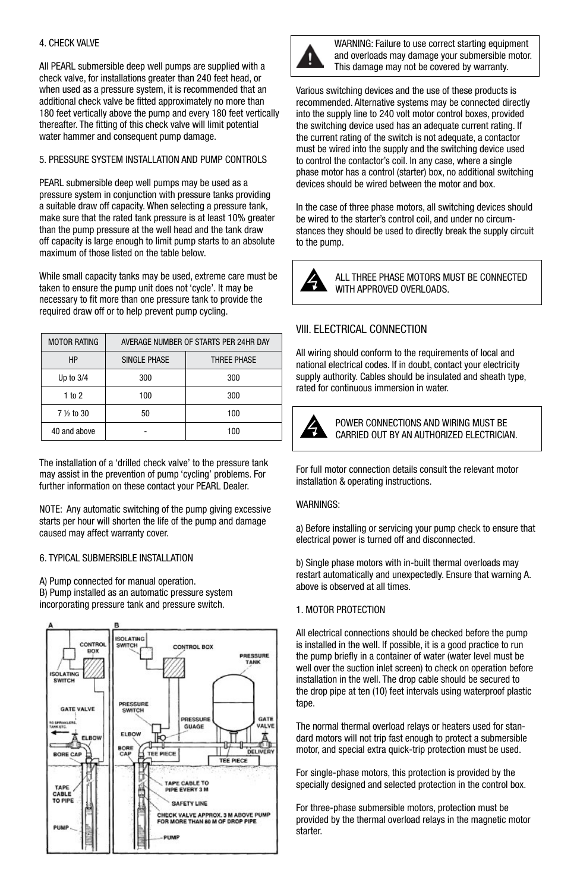## 4. CHECK VALVE

All PEARL submersible deep well pumps are supplied with a check valve, for installations greater than 240 feet head, or when used as a pressure system, it is recommended that an additional check valve be fitted approximately no more than 180 feet vertically above the pump and every 180 feet vertically thereafter. The fitting of this check valve will limit potential water hammer and consequent pump damage.

## 5. PRESSURE SYSTEM INSTALLATION AND PUMP CONTROLS

PEARL submersible deep well pumps may be used as a pressure system in conjunction with pressure tanks providing a suitable draw off capacity. When selecting a pressure tank, make sure that the rated tank pressure is at least 10% greater than the pump pressure at the well head and the tank draw off capacity is large enough to limit pump starts to an absolute maximum of those listed on the table below.

While small capacity tanks may be used, extreme care must be taken to ensure the pump unit does not 'cycle'. It may be necessary to fit more than one pressure tank to provide the required draw off or to help prevent pump cycling.

| <b>MOTOR RATING</b> | AVERAGE NUMBER OF STARTS PER 24HR DAY |             |
|---------------------|---------------------------------------|-------------|
| HP                  | SINGI F PHASE                         | THREE PHASE |
| Up to $3/4$         | 300                                   | 300         |
| 1 to 2              | 100                                   | 300         |
| 7 1/2 to 30         | 50                                    | 100         |
| 40 and above        |                                       | 100         |

The installation of a 'drilled check valve' to the pressure tank may assist in the prevention of pump 'cycling' problems. For further information on these contact your PEARL Dealer.

NOTE: Any automatic switching of the pump giving excessive starts per hour will shorten the life of the pump and damage caused may affect warranty cover.

## 6. TYPICAL SUBMERSIBLE INSTALLATION

A) Pump connected for manual operation. B) Pump installed as an automatic pressure system incorporating pressure tank and pressure switch.





WARNING: Failure to use correct starting equipment and overloads may damage your submersible motor. This damage may not be covered by warranty.

Various switching devices and the use of these products is recommended. Alternative systems may be connected directly into the supply line to 240 volt motor control boxes, provided the switching device used has an adequate current rating. If the current rating of the switch is not adequate, a contactor must be wired into the supply and the switching device used to control the contactor's coil. In any case, where a single phase motor has a control (starter) box, no additional switching devices should be wired between the motor and box.

In the case of three phase motors, all switching devices should be wired to the starter's control coil, and under no circumstances they should be used to directly break the supply circuit to the pump.



ALL THREE PHASE MOTORS MUST BE CONNECTED WITH APPROVED OVERLOADS.

# VIII. ELECTRICAL CONNECTION

All wiring should conform to the requirements of local and national electrical codes. If in doubt, contact your electricity supply authority. Cables should be insulated and sheath type, rated for continuous immersion in water.



POWER CONNECTIONS AND WIRING MUST BE CARRIED OUT BY AN AUTHORIZED ELECTRICIAN.

For full motor connection details consult the relevant motor installation & operating instructions.

#### WARNINGS:

a) Before installing or servicing your pump check to ensure that electrical power is turned off and disconnected.

b) Single phase motors with in-built thermal overloads may restart automatically and unexpectedly. Ensure that warning A. above is observed at all times.

#### 1. MOTOR PROTECTION

All electrical connections should be checked before the pump is installed in the well. If possible, it is a good practice to run the pump briefly in a container of water (water level must be well over the suction inlet screen) to check on operation before installation in the well. The drop cable should be secured to the drop pipe at ten (10) feet intervals using waterproof plastic tape.

The normal thermal overload relays or heaters used for standard motors will not trip fast enough to protect a submersible motor, and special extra quick-trip protection must be used.

For single-phase motors, this protection is provided by the specially designed and selected protection in the control box.

For three-phase submersible motors, protection must be provided by the thermal overload relays in the magnetic motor starter.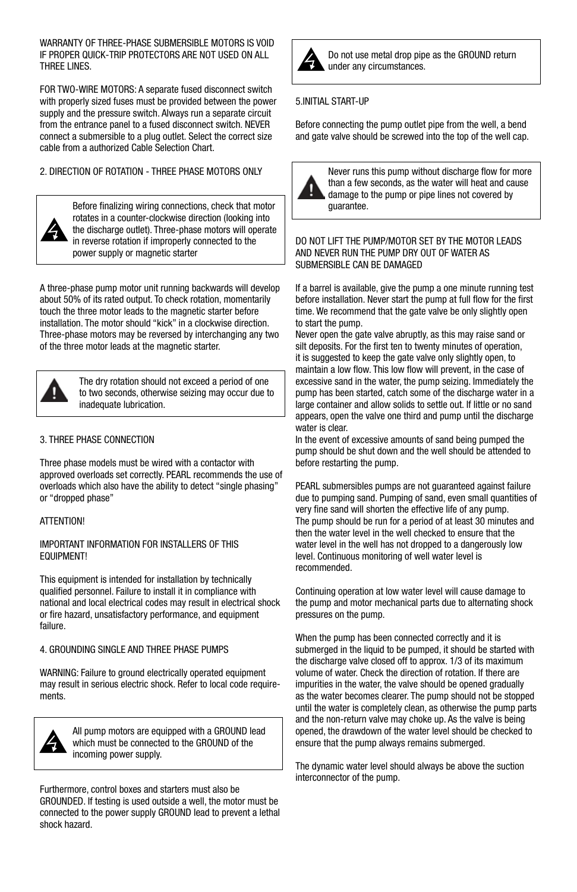WARRANTY OF THREE-PHASE SUBMERSIBLE MOTORS IS VOID IF PROPER QUICK-TRIP PROTECTORS ARE NOT USED ON ALL THREE LINES.

FOR TWO-WIRE MOTORS: A separate fused disconnect switch with properly sized fuses must be provided between the power supply and the pressure switch. Always run a separate circuit from the entrance panel to a fused disconnect switch. NEVER connect a submersible to a plug outlet. Select the correct size cable from a authorized Cable Selection Chart.

2. DIRECTION OF ROTATION - THREE PHASE MOTORS ONLY



Before finalizing wiring connections, check that motor rotates in a counter-clockwise direction (looking into the discharge outlet). Three-phase motors will operate in reverse rotation if improperly connected to the power supply or magnetic starter

A three-phase pump motor unit running backwards will develop about 50% of its rated output. To check rotation, momentarily touch the three motor leads to the magnetic starter before installation. The motor should "kick" in a clockwise direction. Three-phase motors may be reversed by interchanging any two of the three motor leads at the magnetic starter.



The dry rotation should not exceed a period of one to two seconds, otherwise seizing may occur due to inadequate lubrication.

#### 3. THREE PHASE CONNECTION

Three phase models must be wired with a contactor with approved overloads set correctly. PEARL recommends the use of overloads which also have the ability to detect "single phasing" or "dropped phase"

#### ATTENTION!

#### IMPORTANT INFORMATION FOR INSTALLERS OF THIS EQUIPMENT!

This equipment is intended for installation by technically qualified personnel. Failure to install it in compliance with national and local electrical codes may result in electrical shock or fire hazard, unsatisfactory performance, and equipment failure.

#### 4. GROUNDING SINGLE AND THREE PHASE PUMPS

WARNING: Failure to ground electrically operated equipment may result in serious electric shock. Refer to local code requirements.



All pump motors are equipped with a GROUND lead which must be connected to the GROUND of the incoming power supply.

Furthermore, control boxes and starters must also be GROUNDED. If testing is used outside a well, the motor must be connected to the power supply GROUND lead to prevent a lethal shock hazard.



Do not use metal drop pipe as the GROUND return under any circumstances.

#### 5.INITIAL START-UP

Before connecting the pump outlet pipe from the well, a bend and gate valve should be screwed into the top of the well cap.



Never runs this pump without discharge flow for more than a few seconds, as the water will heat and cause damage to the pump or pipe lines not covered by guarantee.

DO NOT LIFT THE PUMP/MOTOR SET BY THE MOTOR LEADS AND NEVER RUN THE PUMP DRY OUT OF WATER AS SUBMERSIBLE CAN BE DAMAGED

If a barrel is available, give the pump a one minute running test before installation. Never start the pump at full flow for the first time. We recommend that the gate valve be only slightly open to start the pump.

Never open the gate valve abruptly, as this may raise sand or silt deposits. For the first ten to twenty minutes of operation, it is suggested to keep the gate valve only slightly open, to maintain a low flow. This low flow will prevent, in the case of excessive sand in the water, the pump seizing. Immediately the pump has been started, catch some of the discharge water in a large container and allow solids to settle out. If little or no sand appears, open the valve one third and pump until the discharge water is clear.

In the event of excessive amounts of sand being pumped the pump should be shut down and the well should be attended to before restarting the pump.

PEARL submersibles pumps are not guaranteed against failure due to pumping sand. Pumping of sand, even small quantities of very fine sand will shorten the effective life of any pump. The pump should be run for a period of at least 30 minutes and then the water level in the well checked to ensure that the water level in the well has not dropped to a dangerously low level. Continuous monitoring of well water level is recommended.

Continuing operation at low water level will cause damage to the pump and motor mechanical parts due to alternating shock pressures on the pump.

When the pump has been connected correctly and it is submerged in the liquid to be pumped, it should be started with the discharge valve closed off to approx. 1/3 of its maximum volume of water. Check the direction of rotation. If there are impurities in the water, the valve should be opened gradually as the water becomes clearer. The pump should not be stopped until the water is completely clean, as otherwise the pump parts and the non-return valve may choke up. As the valve is being opened, the drawdown of the water level should be checked to ensure that the pump always remains submerged.

The dynamic water level should always be above the suction interconnector of the pump.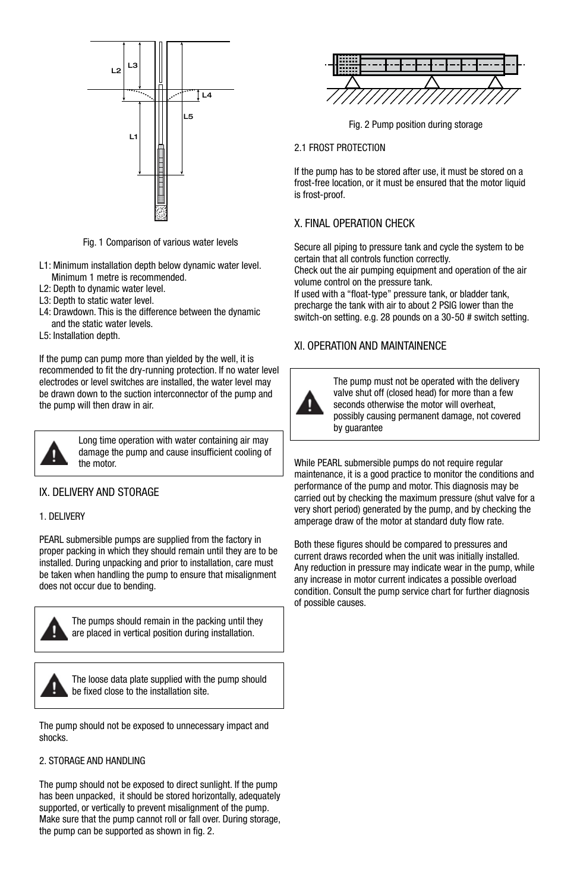

Fig. 1 Comparison of various water levels

- L1: Minimum installation depth below dynamic water level. Minimum 1 metre is recommended.
- L2: Depth to dynamic water level.
- L3: Depth to static water level.
- L4: Drawdown. This is the difference between the dynamic and the static water levels.
- L5: Installation depth.

If the pump can pump more than yielded by the well, it is recommended to fit the dry-running protection. If no water level electrodes or level switches are installed, the water level may be drawn down to the suction interconnector of the pump and the pump will then draw in air.



Long time operation with water containing air may damage the pump and cause insufficient cooling of the motor.

# IX. DELIVERY AND STORAGE

#### 1. DELIVERY

PEARL submersible pumps are supplied from the factory in proper packing in which they should remain until they are to be installed. During unpacking and prior to installation, care must be taken when handling the pump to ensure that misalignment does not occur due to bending.



The pumps should remain in the packing until they are placed in vertical position during installation.



The loose data plate supplied with the pump should be fixed close to the installation site.

The pump should not be exposed to unnecessary impact and shocks.

## 2. STORAGE AND HANDLING

The pump should not be exposed to direct sunlight. If the pump has been unpacked, it should be stored horizontally, adequately supported, or vertically to prevent misalignment of the pump. Make sure that the pump cannot roll or fall over. During storage, the pump can be supported as shown in fig. 2.



Fig. 2 Pump position during storage

#### 2.1 FROST PROTECTION

If the pump has to be stored after use, it must be stored on a frost-free location, or it must be ensured that the motor liquid is frost-proof.

## X. FINAL OPERATION CHECK

Secure all piping to pressure tank and cycle the system to be certain that all controls function correctly.

Check out the air pumping equipment and operation of the air volume control on the pressure tank.

If used with a "float-type" pressure tank, or bladder tank, precharge the tank with air to about 2 PSIG lower than the switch-on setting. e.g. 28 pounds on a 30-50 # switch setting.

### XI. OPERATION AND MAINTAINENCE



The pump must not be operated with the delivery valve shut off (closed head) for more than a few seconds otherwise the motor will overheat, possibly causing permanent damage, not covered by guarantee

While PEARL submersible pumps do not require regular maintenance, it is a good practice to monitor the conditions and performance of the pump and motor. This diagnosis may be carried out by checking the maximum pressure (shut valve for a very short period) generated by the pump, and by checking the amperage draw of the motor at standard duty flow rate.

Both these figures should be compared to pressures and current draws recorded when the unit was initially installed. Any reduction in pressure may indicate wear in the pump, while any increase in motor current indicates a possible overload condition. Consult the pump service chart for further diagnosis of possible causes.